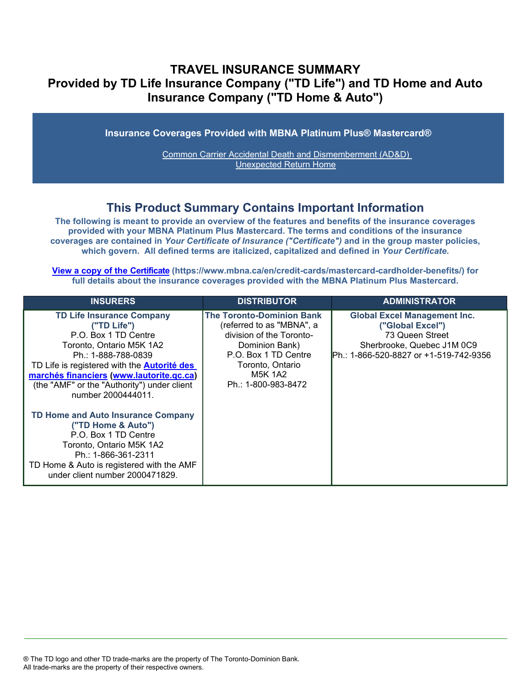# **TRAVEL INSURANCE SUMMARY Provided by TD Life Insurance Company ("TD Life") and TD Home and Auto Insurance Company ("TD Home & Auto")**

**Insurance Coverages Provided with MBNA Platinum Plus® Mastercard®**

[Common Carrier Accidental Death and Dismemberment \(AD&D\)](#page-3-0)  [Unexpected Return Home](#page-4-0)

## **This Product Summary Contains Important Information**

**The following is meant to provide an overview of the features and benefits of the insurance coverages provided with your MBNA Platinum Plus Mastercard. The terms and conditions of the insurance coverages are contained in** *Your Certificate of Insurance ("Certificate")* **and in the group master policies, which govern. All defined terms are italicized, [capitalized and defined in](https://www.mbna.ca/en/credit-cards/mastercard-cardholder-benefits/)** *Your Certificate***.**

**[View a copy of the Certificate](https://www.mbna.ca/en/credit-cards/mastercard-cardholder-benefits/) (https://www.mbna.ca/en/credit-cards/mastercard-cardholder-benefits/) for full details about the insurance coverages provided with the MBNA Platinum Plus Mastercard.**

| <b>INSURERS</b>                                                                                                                                                                                                                                                                                   | <b>DISTRIBUTOR</b>                                                                                                                                                                        | <b>ADMINISTRATOR</b>                                                                                                                                |
|---------------------------------------------------------------------------------------------------------------------------------------------------------------------------------------------------------------------------------------------------------------------------------------------------|-------------------------------------------------------------------------------------------------------------------------------------------------------------------------------------------|-----------------------------------------------------------------------------------------------------------------------------------------------------|
| <b>TD Life Insurance Company</b><br>("TD Life")<br>P.O. Box 1 TD Centre<br>Toronto, Ontario M5K 1A2<br>Ph.: 1-888-788-0839<br>TD Life is registered with the <b>Autorité des</b><br>marchés financiers (www.lautorite.qc.ca)<br>(the "AMF" or the "Authority") under client<br>number 2000444011. | <b>The Toronto-Dominion Bank</b><br>(referred to as "MBNA", a<br>division of the Toronto-<br>Dominion Bank)<br>P.O. Box 1 TD Centre<br>Toronto, Ontario<br>M5K 1A2<br>Ph.: 1-800-983-8472 | <b>Global Excel Management Inc.</b><br>("Global Excel")<br>73 Queen Street<br>Sherbrooke, Quebec J1M 0C9<br>IPh.: 1-866-520-8827 or +1-519-742-9356 |
| TD Home and Auto Insurance Company<br>("TD Home & Auto")<br>P.O. Box 1 TD Centre<br>Toronto, Ontario M5K 1A2<br>Ph.: 1-866-361-2311<br>TD Home & Auto is registered with the AMF<br>under client number 2000471829.                                                                               |                                                                                                                                                                                           |                                                                                                                                                     |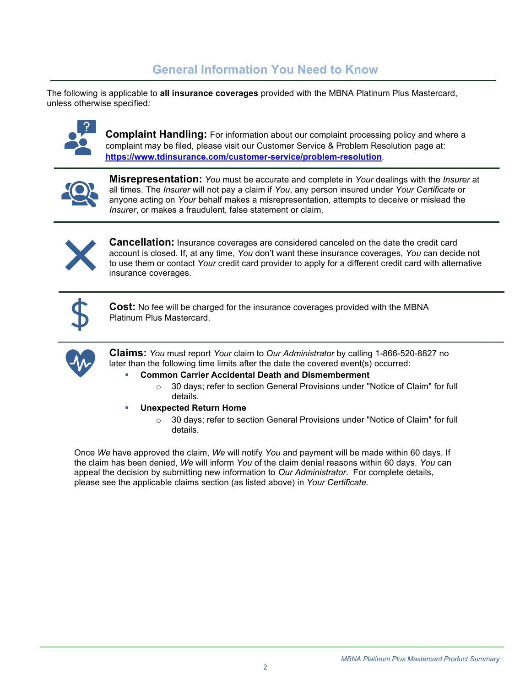# **General Information You Need to Know**

The following is applicable to **all insurance coverages** provided with the MBNA Platinum Plus Mastercard, unless otherwise specified*:*



**Complaint Handling:** For information about our complaint processing policy and where a complaint may be filed, please visit our Customer Service & Problem Resolution page at: **<https://www.tdinsurance.com/customer-service/problem-resolution>**.



**Misrepresentation:** *You* must be accurate and complete in *Your* dealings with the *Insurer* at all times. The *Insurer* will not pay a claim if *You*, any person insured under *Your Certificate* or anyone acting on *Your* behalf makes a misrepresentation, attempts to deceive or mislead the *Insurer*, or makes a fraudulent, false statement or claim.



**Cancellation:** Insurance coverages are considered canceled on the date the credit card account is closed. If, at any time, *You* don't want these insurance coverages, *You* can decide not to use them or contact *Your* credit card provider to apply for a different credit card with alternative insurance coverages.



**Cost:** No fee will be charged for the insurance coverages provided with the MBNA Platinum Plus Mastercard.



**Claims:** *You* must report *Your* claim to *Our Administrator* by calling 1-866-520-8827 no later than the following time limits after the date the covered event(s) occurred:

- **Common Carrier Accidental Death and Dismemberment** 
	- $\circ$  30 days; refer to section General Provisions under "Notice of Claim" for full details.
- **Unexpected Return Home** 
	- o 30 days; refer to section General Provisions under "Notice of Claim" for full details.

Once *We* have approved the claim, *We* will notify *You* and payment will be made within 60 days. If the claim has been denied, *We* will inform *You* of the claim denial reasons within 60 days. *You* can appeal the decision by submitting new information to *Our Administrator*. For complete details, please see the applicable claims section (as listed above) in *Your Certificate.*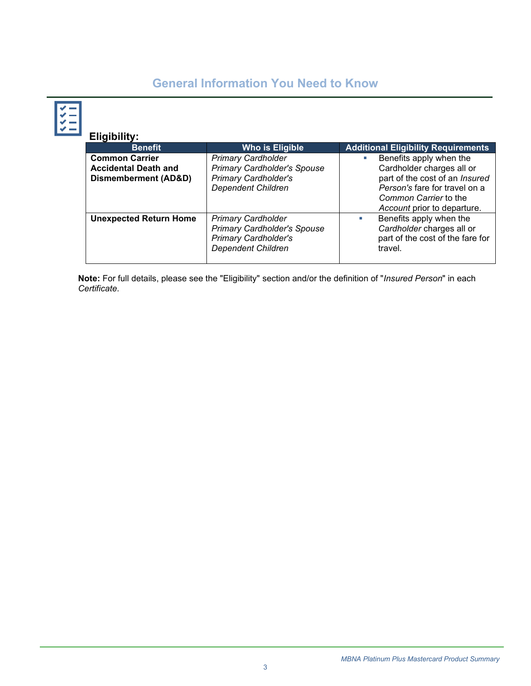# **General Information You Need to Know**

| Eligibility:                                                                 |                                                                                                                             |                                                                                                                                                                                       |
|------------------------------------------------------------------------------|-----------------------------------------------------------------------------------------------------------------------------|---------------------------------------------------------------------------------------------------------------------------------------------------------------------------------------|
| <b>Benefit</b>                                                               | <b>Who is Eligible</b>                                                                                                      | <b>Additional Eligibility Requirements</b>                                                                                                                                            |
| <b>Common Carrier</b><br><b>Accidental Death and</b><br>Dismemberment (AD&D) | <b>Primary Cardholder</b><br><b>Primary Cardholder's Spouse</b><br><b>Primary Cardholder's</b><br><b>Dependent Children</b> | Benefits apply when the<br>Ľ,<br>Cardholder charges all or<br>part of the cost of an Insured<br>Person's fare for travel on a<br>Common Carrier to the<br>Account prior to departure. |
| <b>Unexpected Return Home</b>                                                | <b>Primary Cardholder</b><br><b>Primary Cardholder's Spouse</b><br><b>Primary Cardholder's</b><br><b>Dependent Children</b> | Benefits apply when the<br>Cardholder charges all or<br>part of the cost of the fare for<br>travel.                                                                                   |

**Note:** For full details, please see the "Eligibility" section and/or the definition of "*Insured Person*" in each *Certificate*.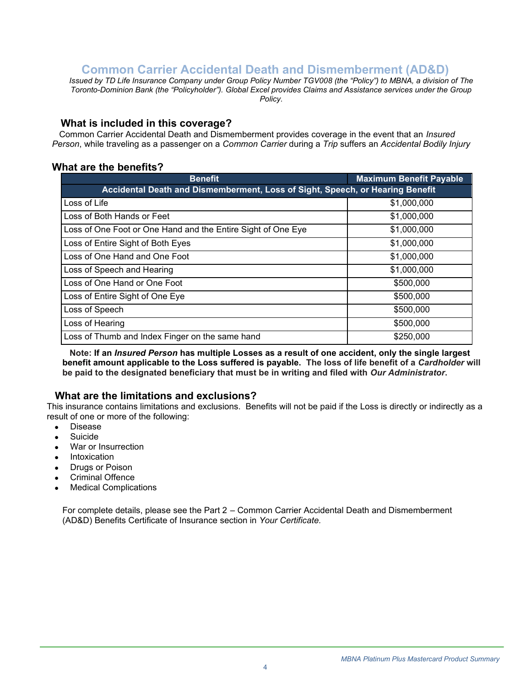# **Common Carrier Accidental Death and Dismemberment (AD&D)**

<span id="page-3-0"></span>*Issued by TD Life Insurance Company under Group Policy Number TGV008 (the "Policy") to MBNA, a division of The Toronto-Dominion Bank (the "Policyholder"). Global Excel provides Claims and Assistance services under the Group Policy.*

### **What is included in this coverage?**

 Common Carrier Accidental Death and Dismemberment provides coverage in the event that an *Insured Person*, while traveling as a passenger on a *Common Carrier* during a *Trip* suffers an *Accidental Bodily Injury*

## **What are the benefits?**

| <b>Benefit</b>                                                                | <b>Maximum Benefit Payable</b> |  |
|-------------------------------------------------------------------------------|--------------------------------|--|
| Accidental Death and Dismemberment, Loss of Sight, Speech, or Hearing Benefit |                                |  |
| Loss of Life                                                                  | \$1,000,000                    |  |
| Loss of Both Hands or Feet                                                    | \$1,000,000                    |  |
| Loss of One Foot or One Hand and the Entire Sight of One Eye                  | \$1,000,000                    |  |
| Loss of Entire Sight of Both Eyes                                             | \$1,000,000                    |  |
| Loss of One Hand and One Foot                                                 | \$1,000,000                    |  |
| Loss of Speech and Hearing                                                    | \$1,000,000                    |  |
| Loss of One Hand or One Foot                                                  | \$500,000                      |  |
| Loss of Entire Sight of One Eye                                               | \$500,000                      |  |
| Loss of Speech                                                                | \$500,000                      |  |
| Loss of Hearing                                                               | \$500,000                      |  |
| Loss of Thumb and Index Finger on the same hand                               | \$250,000                      |  |

 **Note: If an** *Insured Person* **has multiple Losses as a result of one accident, only the single largest benefit amount applicable to the Loss suffered is payable. The loss of life benefit of a** *Cardholder* **will be paid to the designated beneficiary that must be in writing and filed with** *Our Administrator***.** 

## **What are the limitations and exclusions?**

This insurance contains limitations and exclusions. Benefits will not be paid if the Loss is directly or indirectly as a result of one or more of the following:

- Disease
- Suicide
- War or Insurrection
- **Intoxication**
- **Drugs or Poison**
- Criminal Offence
- **Medical Complications**

For complete details, please see the Part 2 – Common Carrier Accidental Death and Dismemberment (AD&D) Benefits Certificate of Insurance section in *Your Certificate.*